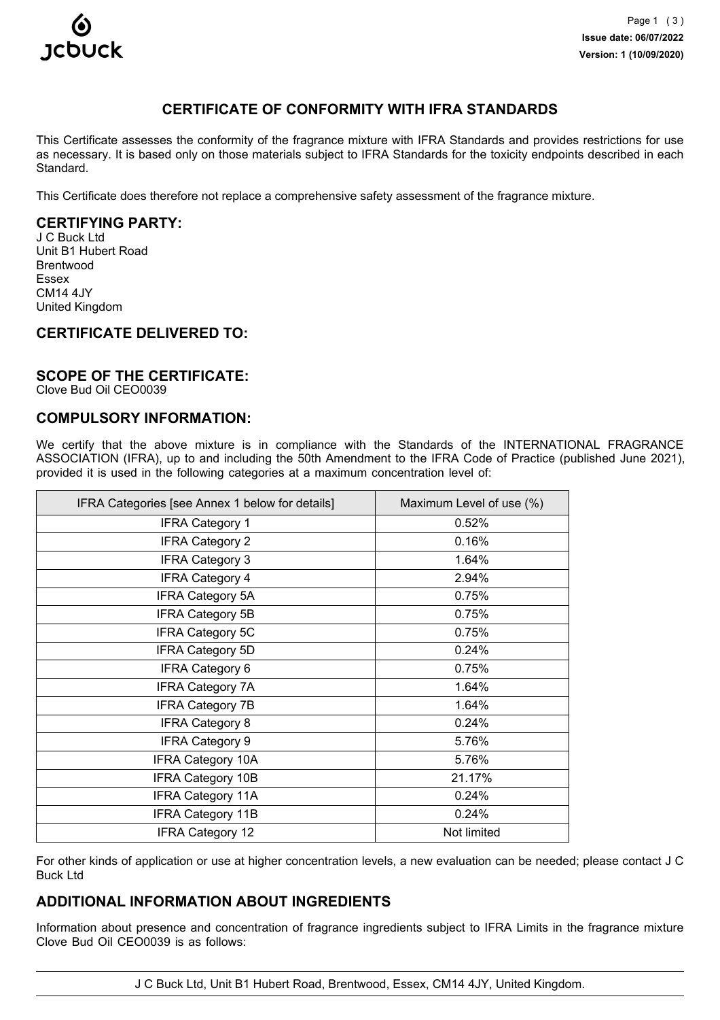

# **CERTIFICATE OF CONFORMITY WITH IFRA STANDARDS**

This Certificate assesses the conformity of the fragrance mixture with IFRA Standards and provides restrictions for use as necessary. It is based only on those materials subject to IFRA Standards for the toxicity endpoints described in each Standard.

This Certificate does therefore not replace a comprehensive safety assessment of the fragrance mixture.

### **CERTIFYING PARTY:**

J C Buck Ltd Unit B1 Hubert Road Brentwood Essex CM14 4JY United Kingdom

## **CERTIFICATE DELIVERED TO:**

#### **SCOPE OF THE CERTIFICATE:**

Clove Bud Oil CEO0039

# **COMPULSORY INFORMATION:**

We certify that the above mixture is in compliance with the Standards of the INTERNATIONAL FRAGRANCE ASSOCIATION (IFRA), up to and including the 50th Amendment to the IFRA Code of Practice (published June 2021), provided it is used in the following categories at a maximum concentration level of:

| IFRA Categories [see Annex 1 below for details] | Maximum Level of use (%) |
|-------------------------------------------------|--------------------------|
| <b>IFRA Category 1</b>                          | 0.52%                    |
| <b>IFRA Category 2</b>                          | 0.16%                    |
| <b>IFRA Category 3</b>                          | 1.64%                    |
| <b>IFRA Category 4</b>                          | 2.94%                    |
| <b>IFRA Category 5A</b>                         | 0.75%                    |
| <b>IFRA Category 5B</b>                         | 0.75%                    |
| <b>IFRA Category 5C</b>                         | 0.75%                    |
| <b>IFRA Category 5D</b>                         | 0.24%                    |
| <b>IFRA Category 6</b>                          | 0.75%                    |
| <b>IFRA Category 7A</b>                         | 1.64%                    |
| <b>IFRA Category 7B</b>                         | 1.64%                    |
| <b>IFRA Category 8</b>                          | 0.24%                    |
| <b>IFRA Category 9</b>                          | 5.76%                    |
| <b>IFRA Category 10A</b>                        | 5.76%                    |
| <b>IFRA Category 10B</b>                        | 21.17%                   |
| <b>IFRA Category 11A</b>                        | 0.24%                    |
| <b>IFRA Category 11B</b>                        | 0.24%                    |
| <b>IFRA Category 12</b>                         | Not limited              |

For other kinds of application or use at higher concentration levels, a new evaluation can be needed; please contact J C Buck Ltd

## **ADDITIONAL INFORMATION ABOUT INGREDIENTS**

Information about presence and concentration of fragrance ingredients subject to IFRA Limits in the fragrance mixture Clove Bud Oil CEO0039 is as follows:

J C Buck Ltd, Unit B1 Hubert Road, Brentwood, Essex, CM14 4JY, United Kingdom.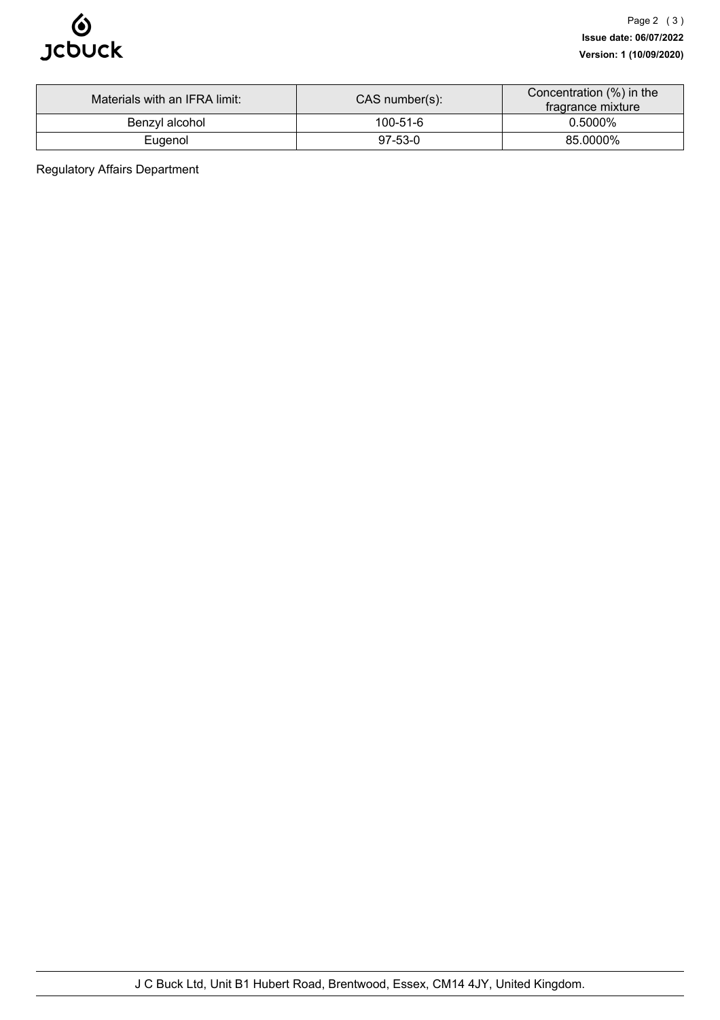

| Materials with an IFRA limit: | $CAS$ number(s): | Concentration (%) in the<br>fragrance mixture |
|-------------------------------|------------------|-----------------------------------------------|
| Benzyl alcohol                | $100 - 51 - 6$   | 0.5000%                                       |
| Eugenol                       | $97-53-0$        | 85.0000%                                      |

Regulatory Affairs Department